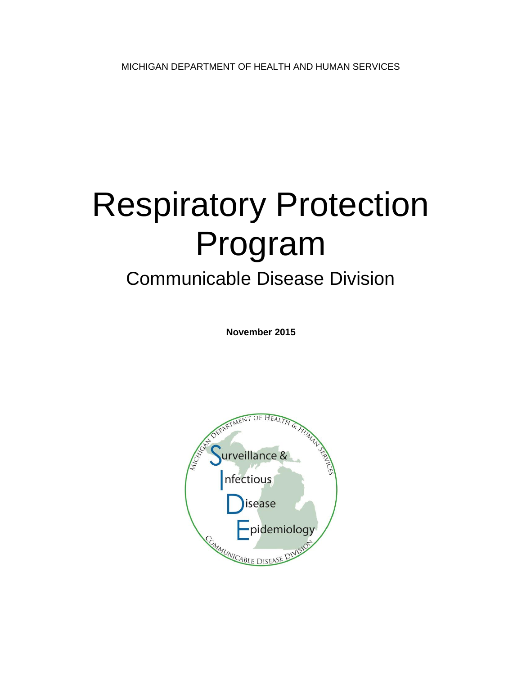# Respiratory Protection Program

# Communicable Disease Division

**November 2015**

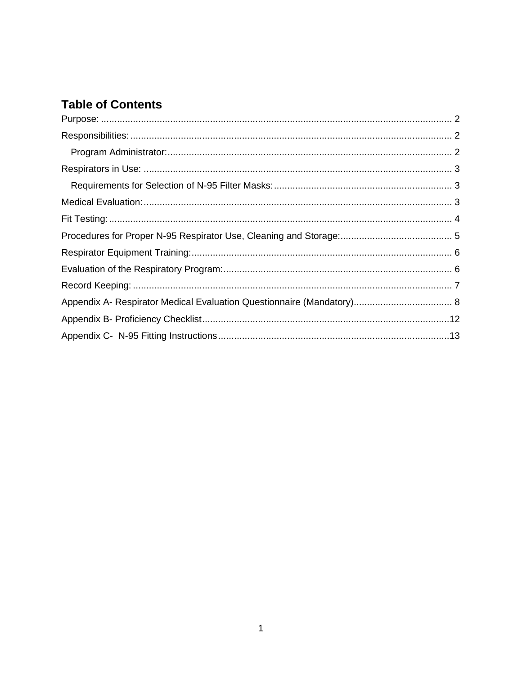# **Table of Contents**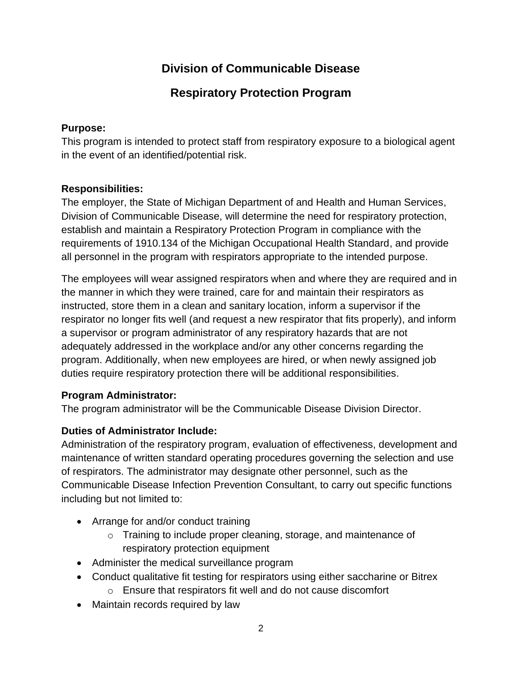# **Division of Communicable Disease**

### **Respiratory Protection Program**

#### <span id="page-2-0"></span>**Purpose:**

This program is intended to protect staff from respiratory exposure to a biological agent in the event of an identified/potential risk.

#### <span id="page-2-1"></span>**Responsibilities:**

The employer, the State of Michigan Department of and Health and Human Services, Division of Communicable Disease, will determine the need for respiratory protection, establish and maintain a Respiratory Protection Program in compliance with the requirements of 1910.134 of the Michigan Occupational Health Standard, and provide all personnel in the program with respirators appropriate to the intended purpose.

The employees will wear assigned respirators when and where they are required and in the manner in which they were trained, care for and maintain their respirators as instructed, store them in a clean and sanitary location, inform a supervisor if the respirator no longer fits well (and request a new respirator that fits properly), and inform a supervisor or program administrator of any respiratory hazards that are not adequately addressed in the workplace and/or any other concerns regarding the program. Additionally, when new employees are hired, or when newly assigned job duties require respiratory protection there will be additional responsibilities.

#### <span id="page-2-2"></span>**Program Administrator:**

The program administrator will be the Communicable Disease Division Director.

#### **Duties of Administrator Include:**

Administration of the respiratory program, evaluation of effectiveness, development and maintenance of written standard operating procedures governing the selection and use of respirators. The administrator may designate other personnel, such as the Communicable Disease Infection Prevention Consultant, to carry out specific functions including but not limited to:

- Arrange for and/or conduct training
	- o Training to include proper cleaning, storage, and maintenance of respiratory protection equipment
- Administer the medical surveillance program
- Conduct qualitative fit testing for respirators using either saccharine or Bitrex o Ensure that respirators fit well and do not cause discomfort
- Maintain records required by law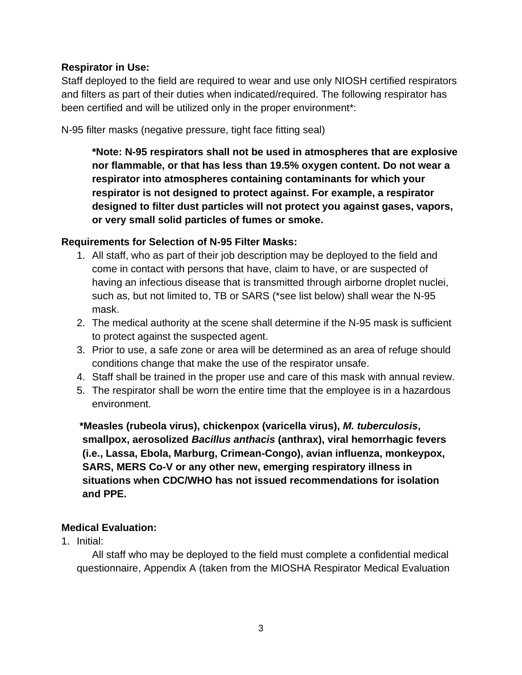#### <span id="page-3-0"></span>**Respirator in Use:**

Staff deployed to the field are required to wear and use only NIOSH certified respirators and filters as part of their duties when indicated/required. The following respirator has been certified and will be utilized only in the proper environment\*:

N-95 filter masks (negative pressure, tight face fitting seal)

**\*Note: N-95 respirators shall not be used in atmospheres that are explosive nor flammable, or that has less than 19.5% oxygen content. Do not wear a respirator into atmospheres containing contaminants for which your respirator is not designed to protect against. For example, a respirator designed to filter dust particles will not protect you against gases, vapors, or very small solid particles of fumes or smoke.**

#### <span id="page-3-1"></span>**Requirements for Selection of N-95 Filter Masks:**

- 1. All staff, who as part of their job description may be deployed to the field and come in contact with persons that have, claim to have, or are suspected of having an infectious disease that is transmitted through airborne droplet nuclei, such as, but not limited to, TB or SARS (\*see list below) shall wear the N-95 mask.
- 2. The medical authority at the scene shall determine if the N-95 mask is sufficient to protect against the suspected agent.
- 3. Prior to use, a safe zone or area will be determined as an area of refuge should conditions change that make the use of the respirator unsafe.
- 4. Staff shall be trained in the proper use and care of this mask with annual review.
- 5. The respirator shall be worn the entire time that the employee is in a hazardous environment.

**\*Measles (rubeola virus), chickenpox (varicella virus),** *M. tuberculosis***, smallpox, aerosolized** *Bacillus anthacis* **(anthrax), viral hemorrhagic fevers (i.e., Lassa, Ebola, Marburg, Crimean-Congo), avian influenza, monkeypox, SARS, MERS Co-V or any other new, emerging respiratory illness in situations when CDC/WHO has not issued recommendations for isolation and PPE.**

#### <span id="page-3-2"></span>**Medical Evaluation:**

1. Initial:

All staff who may be deployed to the field must complete a confidential medical questionnaire, Appendix A (taken from the MIOSHA Respirator Medical Evaluation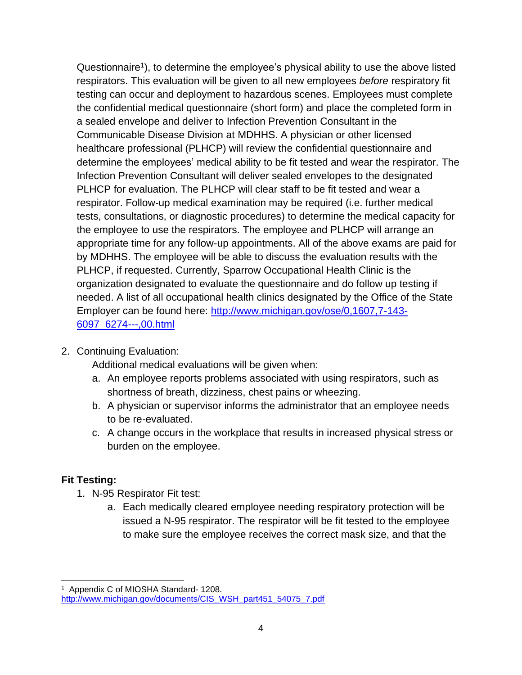Questionnaire<sup>1</sup>), to determine the employee's physical ability to use the above listed respirators. This evaluation will be given to all new employees *before* respiratory fit testing can occur and deployment to hazardous scenes. Employees must complete the confidential medical questionnaire (short form) and place the completed form in a sealed envelope and deliver to Infection Prevention Consultant in the Communicable Disease Division at MDHHS. A physician or other licensed healthcare professional (PLHCP) will review the confidential questionnaire and determine the employees' medical ability to be fit tested and wear the respirator. The Infection Prevention Consultant will deliver sealed envelopes to the designated PLHCP for evaluation. The PLHCP will clear staff to be fit tested and wear a respirator. Follow-up medical examination may be required (i.e. further medical tests, consultations, or diagnostic procedures) to determine the medical capacity for the employee to use the respirators. The employee and PLHCP will arrange an appropriate time for any follow-up appointments. All of the above exams are paid for by MDHHS. The employee will be able to discuss the evaluation results with the PLHCP, if requested. Currently, Sparrow Occupational Health Clinic is the organization designated to evaluate the questionnaire and do follow up testing if needed. A list of all occupational health clinics designated by the Office of the State Employer can be found here: [http://www.michigan.gov/ose/0,1607,7-143-](http://www.michigan.gov/ose/0,1607,7-143-6097_6274---,00.html) [6097\\_6274---,00.html](http://www.michigan.gov/ose/0,1607,7-143-6097_6274---,00.html)

2. Continuing Evaluation:

Additional medical evaluations will be given when:

- a. An employee reports problems associated with using respirators, such as shortness of breath, dizziness, chest pains or wheezing.
- b. A physician or supervisor informs the administrator that an employee needs to be re-evaluated.
- c. A change occurs in the workplace that results in increased physical stress or burden on the employee.

#### <span id="page-4-0"></span>**Fit Testing:**

- 1. N-95 Respirator Fit test:
	- a. Each medically cleared employee needing respiratory protection will be issued a N-95 respirator. The respirator will be fit tested to the employee to make sure the employee receives the correct mask size, and that the

<sup>1</sup> Appendix C of MIOSHA Standard- 1208. [http://www.michigan.gov/documents/CIS\\_WSH\\_part451\\_54075\\_7.pdf](http://www.michigan.gov/documents/CIS_WSH_part451_54075_7.pdf)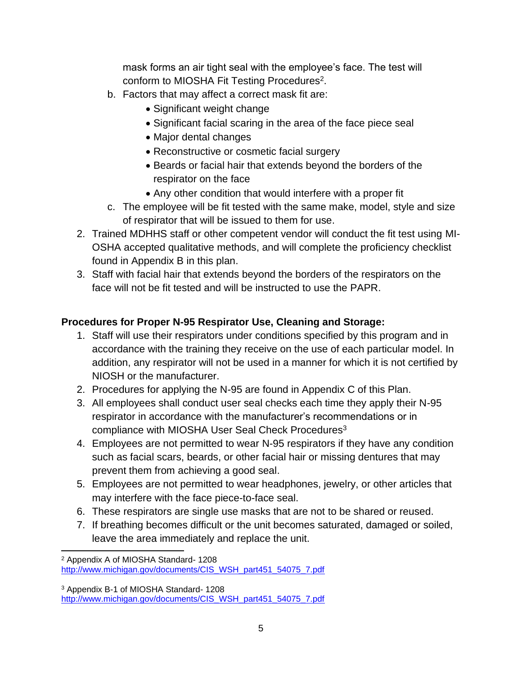mask forms an air tight seal with the employee's face. The test will conform to MIOSHA Fit Testing Procedures<sup>2</sup>.

- b. Factors that may affect a correct mask fit are:
	- Significant weight change
	- Significant facial scaring in the area of the face piece seal
	- Major dental changes
	- Reconstructive or cosmetic facial surgery
	- Beards or facial hair that extends beyond the borders of the respirator on the face
	- Any other condition that would interfere with a proper fit
- c. The employee will be fit tested with the same make, model, style and size of respirator that will be issued to them for use.
- 2. Trained MDHHS staff or other competent vendor will conduct the fit test using MI-OSHA accepted qualitative methods, and will complete the proficiency checklist found in Appendix B in this plan.
- 3. Staff with facial hair that extends beyond the borders of the respirators on the face will not be fit tested and will be instructed to use the PAPR.

#### <span id="page-5-0"></span>**Procedures for Proper N-95 Respirator Use, Cleaning and Storage:**

- 1. Staff will use their respirators under conditions specified by this program and in accordance with the training they receive on the use of each particular model. In addition, any respirator will not be used in a manner for which it is not certified by NIOSH or the manufacturer.
- 2. Procedures for applying the N-95 are found in Appendix C of this Plan.
- 3. All employees shall conduct user seal checks each time they apply their N-95 respirator in accordance with the manufacturer's recommendations or in compliance with MIOSHA User Seal Check Procedures<sup>3</sup>
- 4. Employees are not permitted to wear N-95 respirators if they have any condition such as facial scars, beards, or other facial hair or missing dentures that may prevent them from achieving a good seal.
- 5. Employees are not permitted to wear headphones, jewelry, or other articles that may interfere with the face piece-to-face seal.
- 6. These respirators are single use masks that are not to be shared or reused.
- 7. If breathing becomes difficult or the unit becomes saturated, damaged or soiled, leave the area immediately and replace the unit.

<sup>2</sup> Appendix A of MIOSHA Standard- 1208 [http://www.michigan.gov/documents/CIS\\_WSH\\_part451\\_54075\\_7.pdf](http://www.michigan.gov/documents/CIS_WSH_part451_54075_7.pdf)

<sup>3</sup> Appendix B-1 of MIOSHA Standard- 1208 [http://www.michigan.gov/documents/CIS\\_WSH\\_part451\\_54075\\_7.pdf](http://www.michigan.gov/documents/CIS_WSH_part451_54075_7.pdf)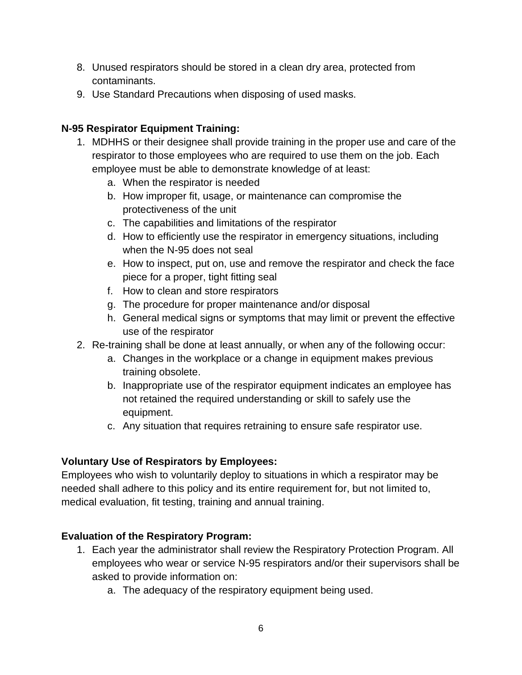- 8. Unused respirators should be stored in a clean dry area, protected from contaminants.
- 9. Use Standard Precautions when disposing of used masks.

#### <span id="page-6-0"></span>**N-95 Respirator Equipment Training:**

- 1. MDHHS or their designee shall provide training in the proper use and care of the respirator to those employees who are required to use them on the job. Each employee must be able to demonstrate knowledge of at least:
	- a. When the respirator is needed
	- b. How improper fit, usage, or maintenance can compromise the protectiveness of the unit
	- c. The capabilities and limitations of the respirator
	- d. How to efficiently use the respirator in emergency situations, including when the N-95 does not seal
	- e. How to inspect, put on, use and remove the respirator and check the face piece for a proper, tight fitting seal
	- f. How to clean and store respirators
	- g. The procedure for proper maintenance and/or disposal
	- h. General medical signs or symptoms that may limit or prevent the effective use of the respirator
- 2. Re-training shall be done at least annually, or when any of the following occur:
	- a. Changes in the workplace or a change in equipment makes previous training obsolete.
	- b. Inappropriate use of the respirator equipment indicates an employee has not retained the required understanding or skill to safely use the equipment.
	- c. Any situation that requires retraining to ensure safe respirator use.

#### **Voluntary Use of Respirators by Employees:**

Employees who wish to voluntarily deploy to situations in which a respirator may be needed shall adhere to this policy and its entire requirement for, but not limited to, medical evaluation, fit testing, training and annual training.

#### <span id="page-6-1"></span>**Evaluation of the Respiratory Program:**

- 1. Each year the administrator shall review the Respiratory Protection Program. All employees who wear or service N-95 respirators and/or their supervisors shall be asked to provide information on:
	- a. The adequacy of the respiratory equipment being used.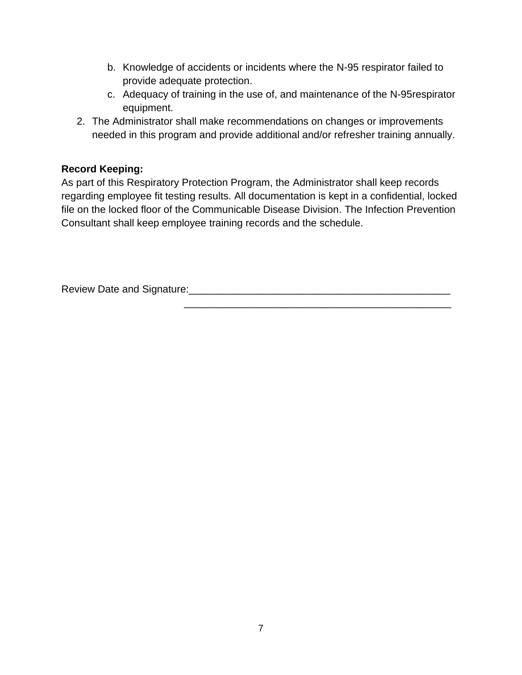- b. Knowledge of accidents or incidents where the N-95 respirator failed to provide adequate protection.
- c. Adequacy of training in the use of, and maintenance of the N-95respirator equipment.

\_\_\_\_\_\_\_\_\_\_\_\_\_\_\_\_\_\_\_\_\_\_\_\_\_\_\_\_\_\_\_\_\_\_\_\_\_\_\_\_\_\_\_\_\_\_\_

2. The Administrator shall make recommendations on changes or improvements needed in this program and provide additional and/or refresher training annually.

#### <span id="page-7-0"></span>**Record Keeping:**

As part of this Respiratory Protection Program, the Administrator shall keep records regarding employee fit testing results. All documentation is kept in a confidential, locked file on the locked floor of the Communicable Disease Division. The Infection Prevention Consultant shall keep employee training records and the schedule.

Review Date and Signature:\_\_\_\_\_\_\_\_\_\_\_\_\_\_\_\_\_\_\_\_\_\_\_\_\_\_\_\_\_\_\_\_\_\_\_\_\_\_\_\_\_\_\_\_\_\_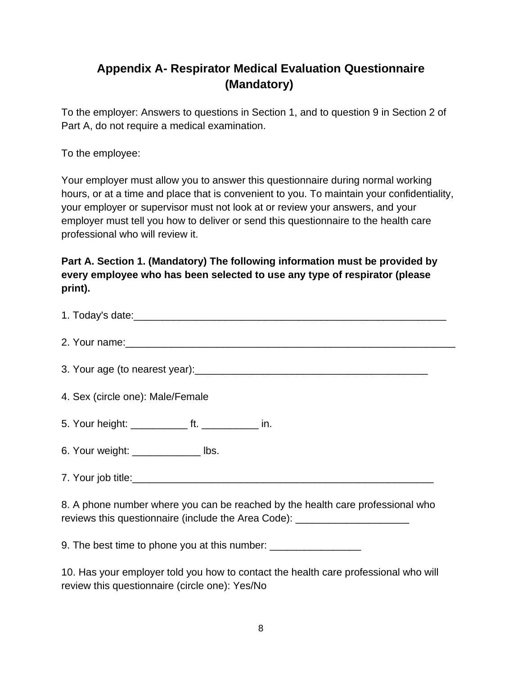# <span id="page-8-0"></span>**Appendix A- Respirator Medical Evaluation Questionnaire (Mandatory)**

To the employer: Answers to questions in Section 1, and to question 9 in Section 2 of Part A, do not require a medical examination.

To the employee:

Your employer must allow you to answer this questionnaire during normal working hours, or at a time and place that is convenient to you. To maintain your confidentiality, your employer or supervisor must not look at or review your answers, and your employer must tell you how to deliver or send this questionnaire to the health care professional who will review it.

#### **Part A. Section 1. (Mandatory) The following information must be provided by every employee who has been selected to use any type of respirator (please print).**

| 4. Sex (circle one): Male/Female                                                                                                                                   |  |  |  |  |  |
|--------------------------------------------------------------------------------------------------------------------------------------------------------------------|--|--|--|--|--|
| 5. Your height: ______________ ft. _______________ in.                                                                                                             |  |  |  |  |  |
| 6. Your weight: ______________ lbs.                                                                                                                                |  |  |  |  |  |
|                                                                                                                                                                    |  |  |  |  |  |
| 8. A phone number where you can be reached by the health care professional who<br>reviews this questionnaire (include the Area Code): ____________________________ |  |  |  |  |  |

9. The best time to phone you at this number: \_\_\_\_\_\_\_\_\_\_\_\_\_\_\_\_\_\_\_\_\_\_\_\_\_\_\_\_\_\_\_\_\_\_

10. Has your employer told you how to contact the health care professional who will review this questionnaire (circle one): Yes/No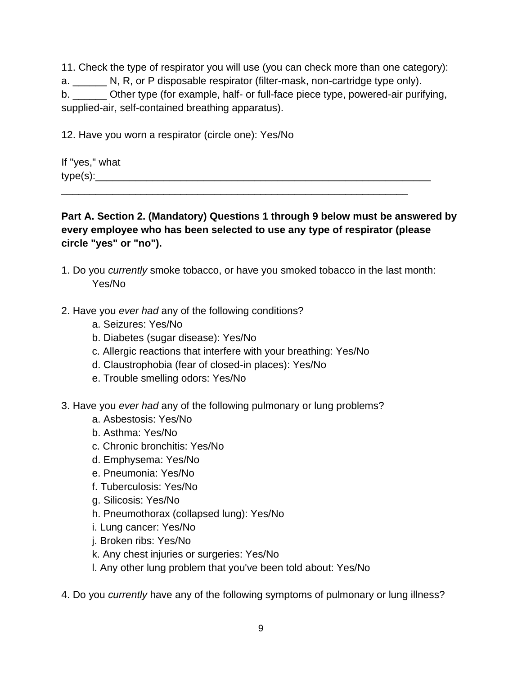11. Check the type of respirator you will use (you can check more than one category): a. N, R, or P disposable respirator (filter-mask, non-cartridge type only). b. **Other type (for example, half- or full-face piece type, powered-air purifying,** supplied-air, self-contained breathing apparatus).

12. Have you worn a respirator (circle one): Yes/No

If "yes," what  $type(s):$ 

**Part A. Section 2. (Mandatory) Questions 1 through 9 below must be answered by every employee who has been selected to use any type of respirator (please circle "yes" or "no").**

1. Do you *currently* smoke tobacco, or have you smoked tobacco in the last month: Yes/No

\_\_\_\_\_\_\_\_\_\_\_\_\_\_\_\_\_\_\_\_\_\_\_\_\_\_\_\_\_\_\_\_\_\_\_\_\_\_\_\_\_\_\_\_\_\_\_\_\_\_\_\_\_\_\_\_\_\_\_\_\_

- 2. Have you *ever had* any of the following conditions?
	- a. Seizures: Yes/No
	- b. Diabetes (sugar disease): Yes/No
	- c. Allergic reactions that interfere with your breathing: Yes/No
	- d. Claustrophobia (fear of closed-in places): Yes/No
	- e. Trouble smelling odors: Yes/No
- 3. Have you *ever had* any of the following pulmonary or lung problems?
	- a. Asbestosis: Yes/No
	- b. Asthma: Yes/No
	- c. Chronic bronchitis: Yes/No
	- d. Emphysema: Yes/No
	- e. Pneumonia: Yes/No
	- f. Tuberculosis: Yes/No
	- g. Silicosis: Yes/No
	- h. Pneumothorax (collapsed lung): Yes/No
	- i. Lung cancer: Yes/No
	- j. Broken ribs: Yes/No
	- k. Any chest injuries or surgeries: Yes/No
	- l. Any other lung problem that you've been told about: Yes/No

4. Do you *currently* have any of the following symptoms of pulmonary or lung illness?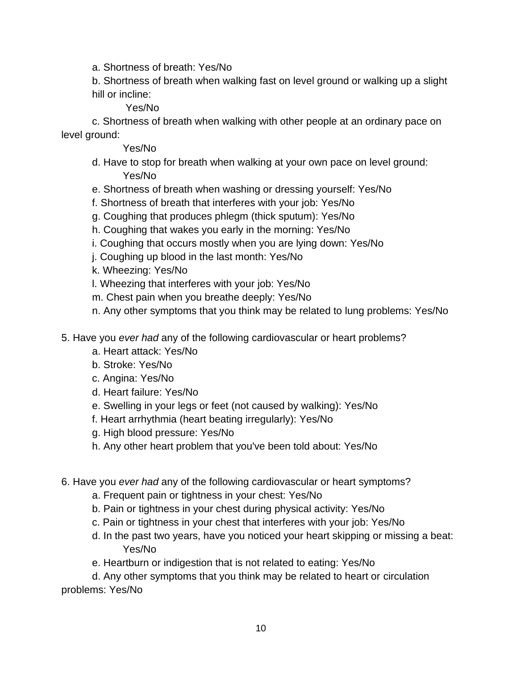a. Shortness of breath: Yes/No

b. Shortness of breath when walking fast on level ground or walking up a slight hill or incline:

Yes/No

c. Shortness of breath when walking with other people at an ordinary pace on level ground:

#### Yes/No

- d. Have to stop for breath when walking at your own pace on level ground: Yes/No
- e. Shortness of breath when washing or dressing yourself: Yes/No
- f. Shortness of breath that interferes with your job: Yes/No
- g. Coughing that produces phlegm (thick sputum): Yes/No
- h. Coughing that wakes you early in the morning: Yes/No
- i. Coughing that occurs mostly when you are lying down: Yes/No
- j. Coughing up blood in the last month: Yes/No
- k. Wheezing: Yes/No
- l. Wheezing that interferes with your job: Yes/No
- m. Chest pain when you breathe deeply: Yes/No
- n. Any other symptoms that you think may be related to lung problems: Yes/No
- 5. Have you *ever had* any of the following cardiovascular or heart problems?
	- a. Heart attack: Yes/No
	- b. Stroke: Yes/No
	- c. Angina: Yes/No
	- d. Heart failure: Yes/No
	- e. Swelling in your legs or feet (not caused by walking): Yes/No
	- f. Heart arrhythmia (heart beating irregularly): Yes/No
	- g. High blood pressure: Yes/No
	- h. Any other heart problem that you've been told about: Yes/No
- 6. Have you *ever had* any of the following cardiovascular or heart symptoms?
	- a. Frequent pain or tightness in your chest: Yes/No
	- b. Pain or tightness in your chest during physical activity: Yes/No
	- c. Pain or tightness in your chest that interferes with your job: Yes/No
	- d. In the past two years, have you noticed your heart skipping or missing a beat: Yes/No
	- e. Heartburn or indigestion that is not related to eating: Yes/No

d. Any other symptoms that you think may be related to heart or circulation problems: Yes/No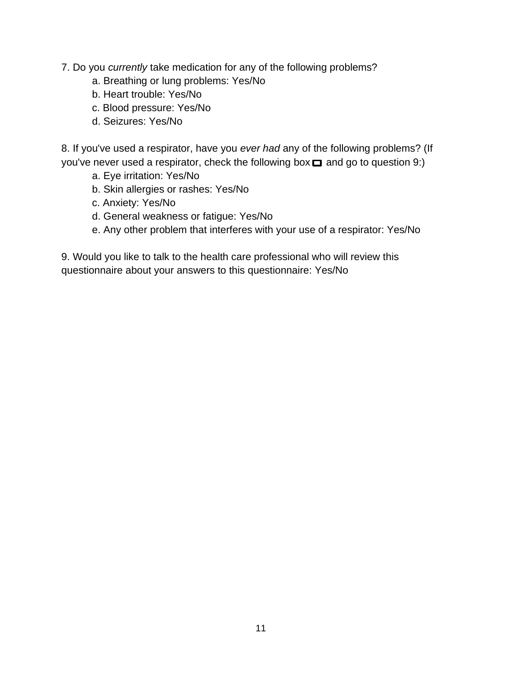7. Do you *currently* take medication for any of the following problems?

- a. Breathing or lung problems: Yes/No
- b. Heart trouble: Yes/No
- c. Blood pressure: Yes/No
- d. Seizures: Yes/No

8. If you've used a respirator, have you *ever had* any of the following problems? (If you've never used a respirator, check the following box  $\Box$  and go to question 9:)

- a. Eye irritation: Yes/No
- b. Skin allergies or rashes: Yes/No
- c. Anxiety: Yes/No
- d. General weakness or fatigue: Yes/No
- e. Any other problem that interferes with your use of a respirator: Yes/No

9. Would you like to talk to the health care professional who will review this questionnaire about your answers to this questionnaire: Yes/No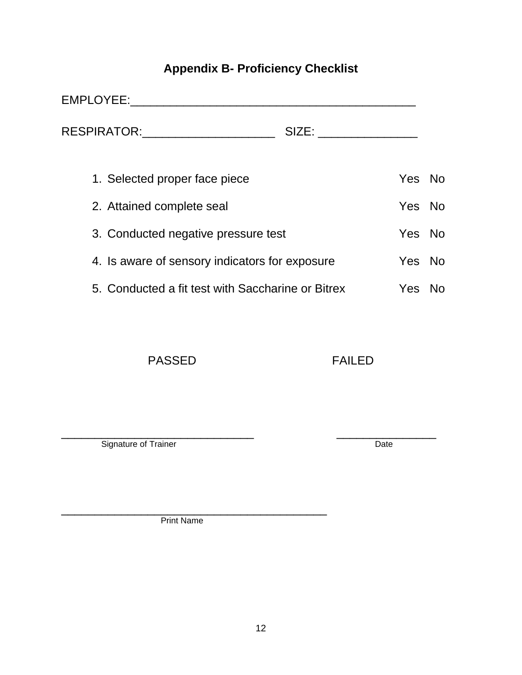# **Appendix B- Proficiency Checklist**

<span id="page-12-0"></span>

|                                                                                       | EMPLOYEE:                                         |        |        |     |
|---------------------------------------------------------------------------------------|---------------------------------------------------|--------|--------|-----|
|                                                                                       | RESPIRATOR:                                       | SIZE:  |        |     |
|                                                                                       | 1. Selected proper face piece                     |        | Yes No |     |
|                                                                                       | 2. Attained complete seal                         |        | Yes No |     |
| 3. Conducted negative pressure test<br>4. Is aware of sensory indicators for exposure |                                                   |        | Yes No |     |
|                                                                                       |                                                   | Yes No |        |     |
|                                                                                       | 5. Conducted a fit test with Saccharine or Bitrex |        | Yes.   | No. |

PASSED FAILED

\_\_\_\_\_\_\_\_\_\_\_\_\_\_\_\_\_\_\_\_\_\_\_\_\_\_\_\_\_ \_\_\_\_\_\_\_\_\_\_\_\_\_\_\_ Signature of Trainer Date

\_\_\_\_\_\_\_\_\_\_\_\_\_\_\_\_\_\_\_\_\_\_\_\_\_\_\_\_\_\_\_\_\_\_\_\_\_\_\_\_ Print Name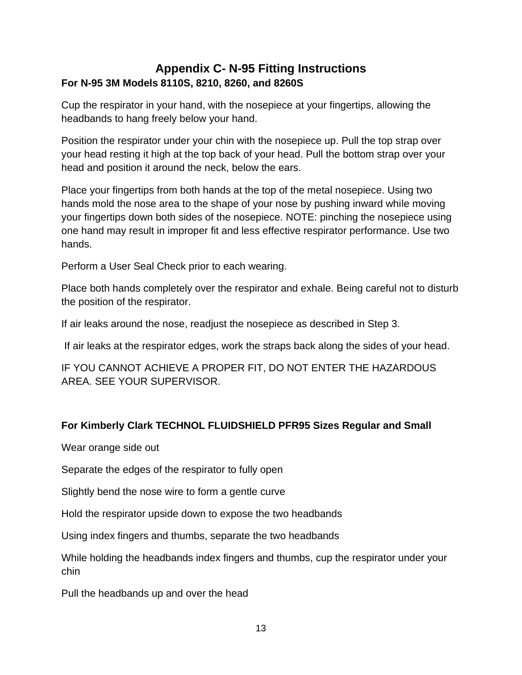#### <span id="page-13-0"></span>**Appendix C- N-95 Fitting Instructions For N-95 3M Models 8110S, 8210, 8260, and 8260S**

Cup the respirator in your hand, with the nosepiece at your fingertips, allowing the headbands to hang freely below your hand.

Position the respirator under your chin with the nosepiece up. Pull the top strap over your head resting it high at the top back of your head. Pull the bottom strap over your head and position it around the neck, below the ears.

Place your fingertips from both hands at the top of the metal nosepiece. Using two hands mold the nose area to the shape of your nose by pushing inward while moving your fingertips down both sides of the nosepiece. NOTE: pinching the nosepiece using one hand may result in improper fit and less effective respirator performance. Use two hands.

Perform a User Seal Check prior to each wearing.

Place both hands completely over the respirator and exhale. Being careful not to disturb the position of the respirator.

If air leaks around the nose, readjust the nosepiece as described in Step 3.

If air leaks at the respirator edges, work the straps back along the sides of your head.

IF YOU CANNOT ACHIEVE A PROPER FIT, DO NOT ENTER THE HAZARDOUS AREA. SEE YOUR SUPERVISOR.

#### **For Kimberly Clark TECHNOL FLUIDSHIELD PFR95 Sizes Regular and Small**

Wear orange side out

Separate the edges of the respirator to fully open

Slightly bend the nose wire to form a gentle curve

Hold the respirator upside down to expose the two headbands

Using index fingers and thumbs, separate the two headbands

While holding the headbands index fingers and thumbs, cup the respirator under your chin

Pull the headbands up and over the head